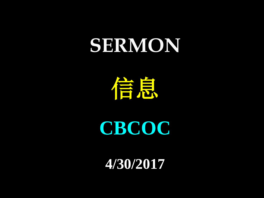## **SERMON**

信息

**CBCOC**

**4/30/2017**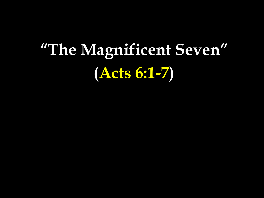## **"The Magnificent Seven" (Acts 6:1-7)**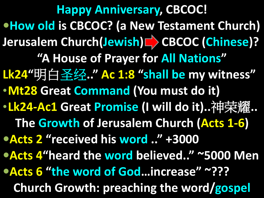**Happy Anniversary, CBCOC! How old is CBCOC? (a New Testament Church) Jerusalem Church(Jewish) CBCOC (Chinese)? "A House of Prayer for All Nations" Lk24"**明白圣经**.." Ac 1:8 "shall be my witness"** •**Mt28 Great Command (You must do it)** •**Lk24-Ac1 Great Promise (I will do it)..**神荣耀**.. The Growth of Jerusalem Church (Acts 1-6) Acts 2 "received his word .." +3000 Acts 4"heard the word believed.." ~5000 Men Acts 6 "the word of God…increase" ~??? Church Growth: preaching the word/gospel**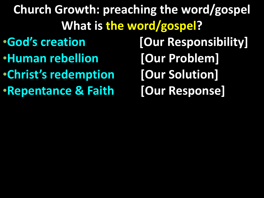**Church Growth: preaching the word/gospel What is the word/gospel?** •**God's creation [Our Responsibility]** •**Human rebellion [Our Problem]** •**Christ's redemption [Our Solution]** •**Repentance & Faith [Our Response]**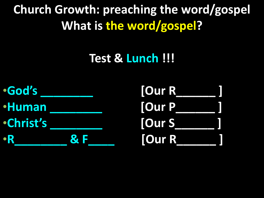**Church Growth: preaching the word/gospel What is the word/gospel?**

## **Test & Lunch !!!**

•**God's \_\_\_\_\_\_\_\_ [Our R\_\_\_\_\_\_ ]** •**Human \_\_\_\_\_\_\_\_ [Our P\_\_\_\_\_\_ ]** •**Christ's \_\_\_\_\_\_\_\_ [Our S\_\_\_\_\_\_ ]** •**R\_\_\_\_\_\_\_\_\_\_\_ & F** 

| <b>TOur R</b> |  |
|---------------|--|
| <b>TOur P</b> |  |
| <b>TOur S</b> |  |
| <b>JOur R</b> |  |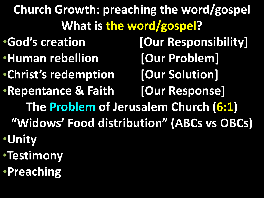**Church Growth: preaching the word/gospel What is the word/gospel?** •**God's creation [Our Responsibility]** •**Human rebellion [Our Problem]** •**Christ's redemption [Our Solution]** •**Repentance & Faith [Our Response] The Problem of Jerusalem Church (6:1) "Widows' Food distribution" (ABCs vs OBCs)** •**Unity** •**Testimony** •**Preaching**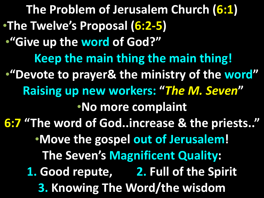**The Problem of Jerusalem Church (6:1)** •**The Twelve's Proposal (6:2-5)** •**"Give up the word of God?" Keep the main thing the main thing!** •**"Devote to prayer& the ministry of the word" Raising up new workers: "***The M. Seven***"** •**No more complaint 6:7 "The word of God..increase & the priests.."** •**Move the gospel out of Jerusalem! The Seven's Magnificent Quality: 1. Good repute, 2. Full of the Spirit 3. Knowing The Word/the wisdom**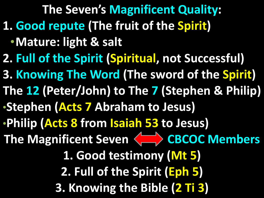**The Seven's Magnificent Quality: 1. Good repute (The fruit of the Spirit)** •**Mature: light & salt**

**2. Full of the Spirit (Spiritual, not Successful)**

**3. Knowing The Word (The sword of the Spirit)**

**The 12 (Peter/John) to The 7 (Stephen & Philip)**

•**Stephen (Acts 7 Abraham to Jesus)**

•**Philip (Acts 8 from Isaiah 53 to Jesus)**

The Magnificent Seven <>>
CBCOC Members

**1. Good testimony (Mt 5)**

**2. Full of the Spirit (Eph 5)**

**3. Knowing the Bible (2 Ti 3)**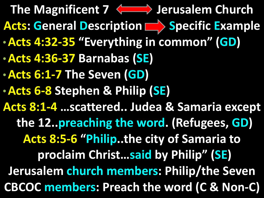The Magnificent 7 <a>>>> **Jerusalem Church** Acts: General Description **Specific Example** •**Acts 4:32-35 "Everything in common" (GD)** •**Acts 4:36-37 Barnabas (SE)** •**Acts 6:1-7 The Seven (GD)** •**Acts 6-8 Stephen & Philip (SE) Acts 8:1-4 …scattered.. Judea & Samaria except the 12..preaching the word. (Refugees, GD) Acts 8:5-6 "Philip..the city of Samaria to proclaim Christ…said by Philip" (SE) Jerusalem church members: Philip/the Seven CBCOC members: Preach the word (C & Non-C)**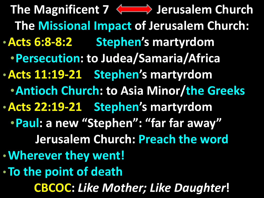The Magnificent 7 <a>>>> **Jerusalem Church The Missional Impact of Jerusalem Church:** •**Acts 6:8-8:2 Stephen's martyrdom** •**Persecution: to Judea/Samaria/Africa** •**Acts 11:19-21 Stephen's martyrdom** •**Antioch Church: to Asia Minor/the Greeks** •**Acts 22:19-21 Stephen's martyrdom** •**Paul: a new "Stephen": "far far away" Jerusalem Church: Preach the word** •**Wherever they went!** •**To the point of death CBCOC:** *Like Mother; Like Daughter***!**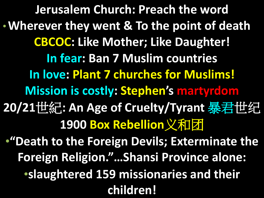**Jerusalem Church: Preach the word** •**Wherever they went & To the point of death CBCOC: Like Mother; Like Daughter! In fear: Ban 7 Muslim countries In love: Plant 7 churches for Muslims! Mission is costly: Stephen's martyrdom 20/21**世紀**: An Age of Cruelty/Tyrant** 暴君世纪 **1900 Box Rebellion**义和团 •**"Death to the Foreign Devils; Exterminate the Foreign Religion."…Shansi Province alone:** •**slaughtered 159 missionaries and their children!**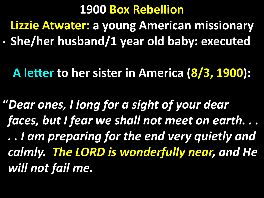## **1900 Box Rebellion**

**Lizzie Atwater: a young American missionary**

• **She/her husband/1 year old baby: executed**

**A letter to her sister in America (8/3, 1900):**

**"***Dear ones, I long for a sight of your dear faces, but I fear we shall not meet on earth. . . . . I am preparing for the end very quietly and calmly. The LORD is wonderfully near, and He will not fail me.*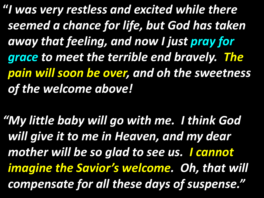**"***I was very restless and excited while there seemed a chance for life, but God has taken away that feeling, and now I just pray for grace to meet the terrible end bravely. The pain will soon be over, and oh the sweetness of the welcome above!*

*"My little baby will go with me. I think God will give it to me in Heaven, and my dear mother will be so glad to see us. I cannot imagine the Savior's welcome. Oh, that will compensate for all these days of suspense."*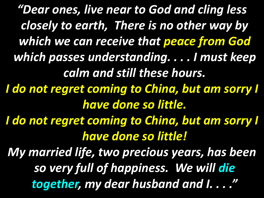*"Dear ones, live near to God and cling less closely to earth, There is no other way by which we can receive that peace from God which passes understanding. . . . I must keep calm and still these hours. I do not regret coming to China, but am sorry I have done so little. I do not regret coming to China, but am sorry I have done so little! My married life, two precious years, has been so very full of happiness. We will die together, my dear husband and I. . . ."*